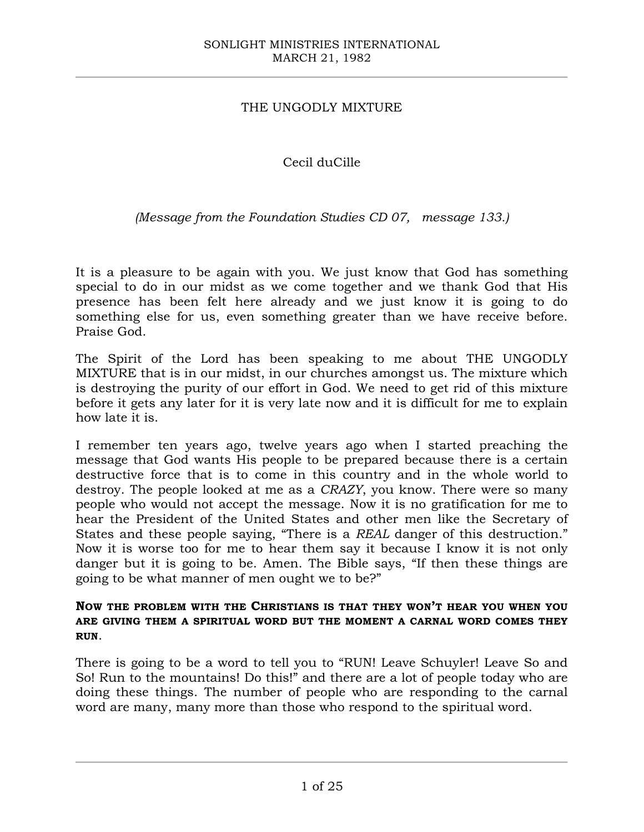## THE UNGODLY MIXTURE

# Cecil duCille

## *(Message from the Foundation Studies CD 07, message 133.)*

It is a pleasure to be again with you. We just know that God has something special to do in our midst as we come together and we thank God that His presence has been felt here already and we just know it is going to do something else for us, even something greater than we have receive before. Praise God.

The Spirit of the Lord has been speaking to me about THE UNGODLY MIXTURE that is in our midst, in our churches amongst us. The mixture which is destroying the purity of our effort in God. We need to get rid of this mixture before it gets any later for it is very late now and it is difficult for me to explain how late it is.

I remember ten years ago, twelve years ago when I started preaching the message that God wants His people to be prepared because there is a certain destructive force that is to come in this country and in the whole world to destroy. The people looked at me as a *CRAZY*, you know. There were so many people who would not accept the message. Now it is no gratification for me to hear the President of the United States and other men like the Secretary of States and these people saying, "There is a *REAL* danger of this destruction." Now it is worse too for me to hear them say it because I know it is not only danger but it is going to be. Amen. The Bible says, "If then these things are going to be what manner of men ought we to be?"

### **NOW THE PROBLEM WITH THE CHRISTIANS IS THAT THEY WON'T HEAR YOU WHEN YOU ARE GIVING THEM A SPIRITUAL WORD BUT THE MOMENT A CARNAL WORD COMES THEY RUN**.

There is going to be a word to tell you to "RUN! Leave Schuyler! Leave So and So! Run to the mountains! Do this!" and there are a lot of people today who are doing these things. The number of people who are responding to the carnal word are many, many more than those who respond to the spiritual word.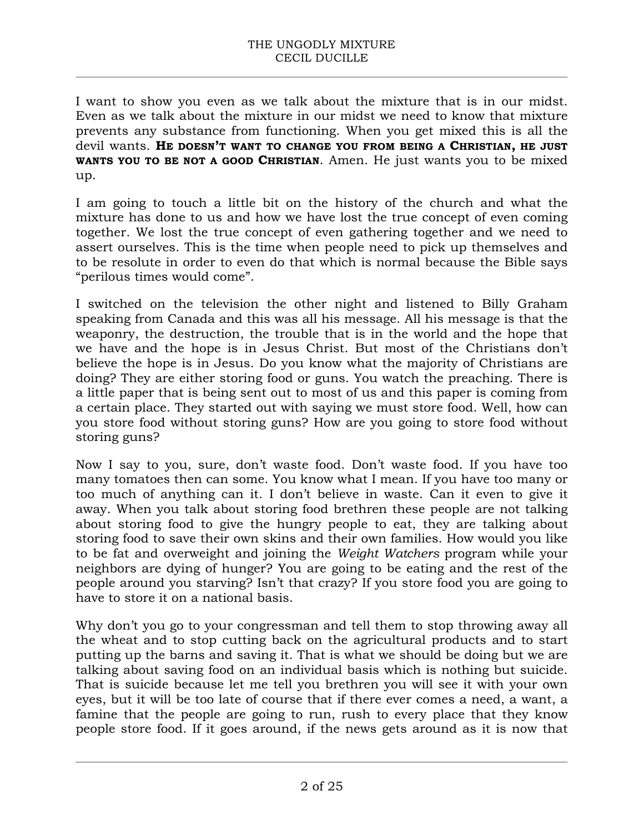I want to show you even as we talk about the mixture that is in our midst. Even as we talk about the mixture in our midst we need to know that mixture prevents any substance from functioning. When you get mixed this is all the devil wants. **HE DOESN'T WANT TO CHANGE YOU FROM BEING A CHRISTIAN, HE JUST WANTS YOU TO BE NOT A GOOD CHRISTIAN**. Amen. He just wants you to be mixed up.

I am going to touch a little bit on the history of the church and what the mixture has done to us and how we have lost the true concept of even coming together. We lost the true concept of even gathering together and we need to assert ourselves. This is the time when people need to pick up themselves and to be resolute in order to even do that which is normal because the Bible says "perilous times would come".

I switched on the television the other night and listened to Billy Graham speaking from Canada and this was all his message. All his message is that the weaponry, the destruction, the trouble that is in the world and the hope that we have and the hope is in Jesus Christ. But most of the Christians don't believe the hope is in Jesus. Do you know what the majority of Christians are doing? They are either storing food or guns. You watch the preaching. There is a little paper that is being sent out to most of us and this paper is coming from a certain place. They started out with saying we must store food. Well, how can you store food without storing guns? How are you going to store food without storing guns?

Now I say to you, sure, don't waste food. Don't waste food. If you have too many tomatoes then can some. You know what I mean. If you have too many or too much of anything can it. I don't believe in waste. Can it even to give it away. When you talk about storing food brethren these people are not talking about storing food to give the hungry people to eat, they are talking about storing food to save their own skins and their own families. How would you like to be fat and overweight and joining the *Weight Watchers* program while your neighbors are dying of hunger? You are going to be eating and the rest of the people around you starving? Isn't that crazy? If you store food you are going to have to store it on a national basis.

Why don't you go to your congressman and tell them to stop throwing away all the wheat and to stop cutting back on the agricultural products and to start putting up the barns and saving it. That is what we should be doing but we are talking about saving food on an individual basis which is nothing but suicide. That is suicide because let me tell you brethren you will see it with your own eyes, but it will be too late of course that if there ever comes a need, a want, a famine that the people are going to run, rush to every place that they know people store food. If it goes around, if the news gets around as it is now that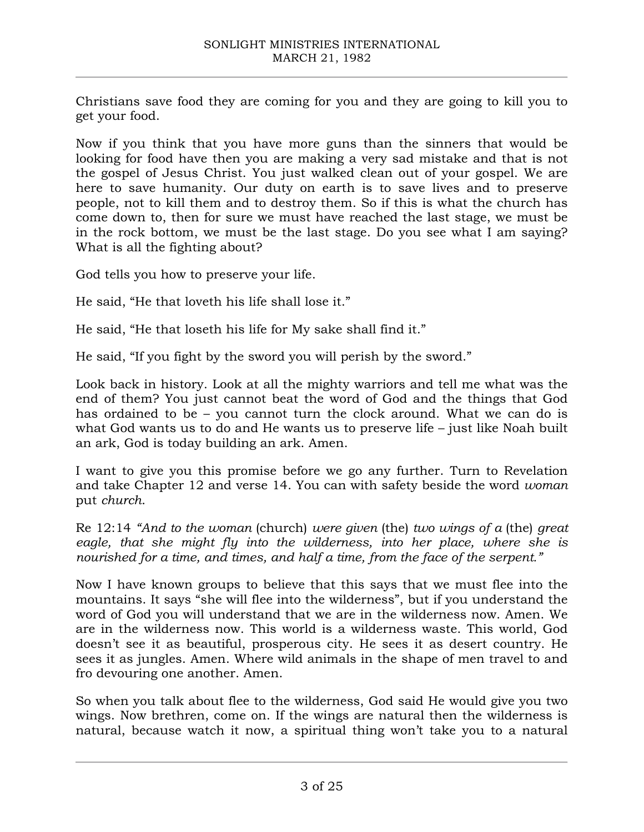Christians save food they are coming for you and they are going to kill you to get your food.

Now if you think that you have more guns than the sinners that would be looking for food have then you are making a very sad mistake and that is not the gospel of Jesus Christ. You just walked clean out of your gospel. We are here to save humanity. Our duty on earth is to save lives and to preserve people, not to kill them and to destroy them. So if this is what the church has come down to, then for sure we must have reached the last stage, we must be in the rock bottom, we must be the last stage. Do you see what I am saying? What is all the fighting about?

God tells you how to preserve your life.

He said, "He that loveth his life shall lose it."

He said, "He that loseth his life for My sake shall find it."

He said, "If you fight by the sword you will perish by the sword."

Look back in history. Look at all the mighty warriors and tell me what was the end of them? You just cannot beat the word of God and the things that God has ordained to be – you cannot turn the clock around. What we can do is what God wants us to do and He wants us to preserve life – just like Noah built an ark, God is today building an ark. Amen.

I want to give you this promise before we go any further. Turn to Revelation and take Chapter 12 and verse 14. You can with safety beside the word *woman* put *church*.

Re 12:14 *"And to the woman* (church) *were given* (the) *two wings of a* (the) *great*  eagle, that she might fly into the wilderness, into her place, where she is *nourished for a time, and times, and half a time, from the face of the serpent."*

Now I have known groups to believe that this says that we must flee into the mountains. It says "she will flee into the wilderness", but if you understand the word of God you will understand that we are in the wilderness now. Amen. We are in the wilderness now. This world is a wilderness waste. This world, God doesn't see it as beautiful, prosperous city. He sees it as desert country. He sees it as jungles. Amen. Where wild animals in the shape of men travel to and fro devouring one another. Amen.

So when you talk about flee to the wilderness, God said He would give you two wings. Now brethren, come on. If the wings are natural then the wilderness is natural, because watch it now, a spiritual thing won't take you to a natural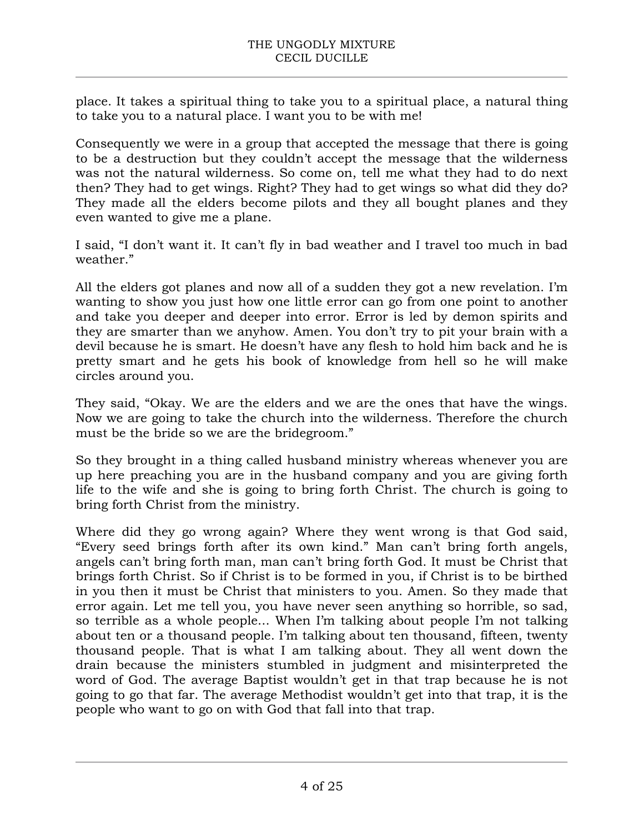place. It takes a spiritual thing to take you to a spiritual place, a natural thing to take you to a natural place. I want you to be with me!

Consequently we were in a group that accepted the message that there is going to be a destruction but they couldn't accept the message that the wilderness was not the natural wilderness. So come on, tell me what they had to do next then? They had to get wings. Right? They had to get wings so what did they do? They made all the elders become pilots and they all bought planes and they even wanted to give me a plane.

I said, "I don't want it. It can't fly in bad weather and I travel too much in bad weather."

All the elders got planes and now all of a sudden they got a new revelation. I'm wanting to show you just how one little error can go from one point to another and take you deeper and deeper into error. Error is led by demon spirits and they are smarter than we anyhow. Amen. You don't try to pit your brain with a devil because he is smart. He doesn't have any flesh to hold him back and he is pretty smart and he gets his book of knowledge from hell so he will make circles around you.

They said, "Okay. We are the elders and we are the ones that have the wings. Now we are going to take the church into the wilderness. Therefore the church must be the bride so we are the bridegroom."

So they brought in a thing called husband ministry whereas whenever you are up here preaching you are in the husband company and you are giving forth life to the wife and she is going to bring forth Christ. The church is going to bring forth Christ from the ministry.

Where did they go wrong again? Where they went wrong is that God said, "Every seed brings forth after its own kind." Man can't bring forth angels, angels can't bring forth man, man can't bring forth God. It must be Christ that brings forth Christ. So if Christ is to be formed in you, if Christ is to be birthed in you then it must be Christ that ministers to you. Amen. So they made that error again. Let me tell you, you have never seen anything so horrible, so sad, so terrible as a whole people... When I'm talking about people I'm not talking about ten or a thousand people. I'm talking about ten thousand, fifteen, twenty thousand people. That is what I am talking about. They all went down the drain because the ministers stumbled in judgment and misinterpreted the word of God. The average Baptist wouldn't get in that trap because he is not going to go that far. The average Methodist wouldn't get into that trap, it is the people who want to go on with God that fall into that trap.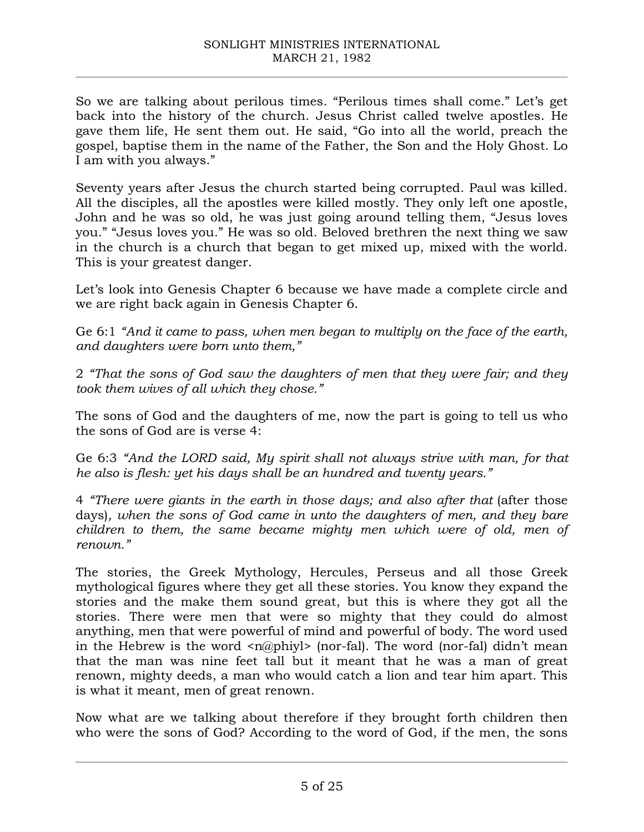So we are talking about perilous times. "Perilous times shall come." Let's get back into the history of the church. Jesus Christ called twelve apostles. He gave them life, He sent them out. He said, "Go into all the world, preach the gospel, baptise them in the name of the Father, the Son and the Holy Ghost. Lo I am with you always."

Seventy years after Jesus the church started being corrupted. Paul was killed. All the disciples, all the apostles were killed mostly. They only left one apostle, John and he was so old, he was just going around telling them, "Jesus loves you." "Jesus loves you." He was so old. Beloved brethren the next thing we saw in the church is a church that began to get mixed up, mixed with the world. This is your greatest danger.

Let's look into Genesis Chapter 6 because we have made a complete circle and we are right back again in Genesis Chapter 6.

Ge 6:1 *"And it came to pass, when men began to multiply on the face of the earth, and daughters were born unto them,"*

2 *"That the sons of God saw the daughters of men that they were fair; and they took them wives of all which they chose."*

The sons of God and the daughters of me, now the part is going to tell us who the sons of God are is verse 4:

Ge 6:3 *"And the LORD said, My spirit shall not always strive with man, for that he also is flesh: yet his days shall be an hundred and twenty years."*

4 *"There were giants in the earth in those days; and also after that* (after those days)*, when the sons of God came in unto the daughters of men, and they bare children to them, the same became mighty men which were of old, men of renown."*

The stories, the Greek Mythology, Hercules, Perseus and all those Greek mythological figures where they get all these stories. You know they expand the stories and the make them sound great, but this is where they got all the stories. There were men that were so mighty that they could do almost anything, men that were powerful of mind and powerful of body. The word used in the Hebrew is the word  $\langle n(\theta)$  (nor-fal). The word (nor-fal) didn't mean that the man was nine feet tall but it meant that he was a man of great renown, mighty deeds, a man who would catch a lion and tear him apart. This is what it meant, men of great renown.

Now what are we talking about therefore if they brought forth children then who were the sons of God? According to the word of God, if the men, the sons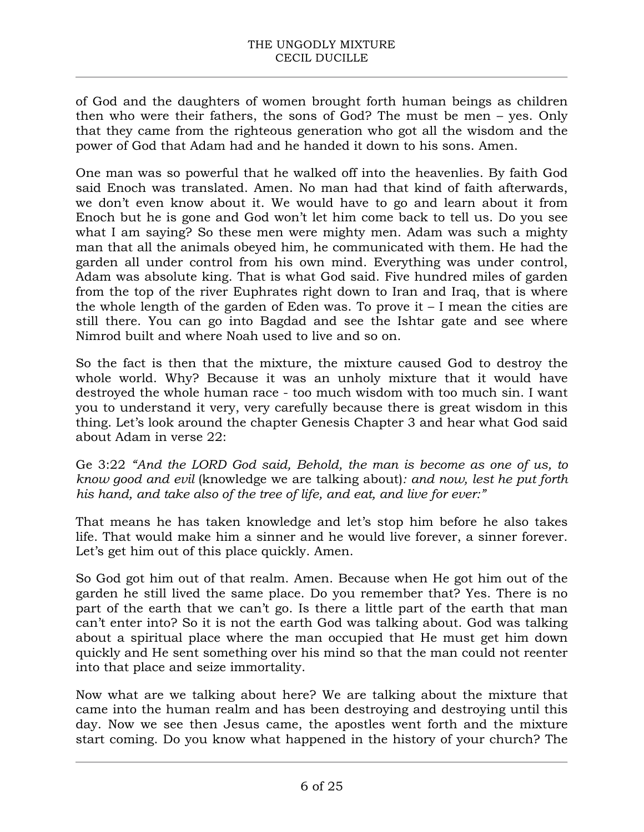of God and the daughters of women brought forth human beings as children then who were their fathers, the sons of God? The must be men – yes. Only that they came from the righteous generation who got all the wisdom and the power of God that Adam had and he handed it down to his sons. Amen.

One man was so powerful that he walked off into the heavenlies. By faith God said Enoch was translated. Amen. No man had that kind of faith afterwards, we don't even know about it. We would have to go and learn about it from Enoch but he is gone and God won't let him come back to tell us. Do you see what I am saying? So these men were mighty men. Adam was such a mighty man that all the animals obeyed him, he communicated with them. He had the garden all under control from his own mind. Everything was under control, Adam was absolute king. That is what God said. Five hundred miles of garden from the top of the river Euphrates right down to Iran and Iraq, that is where the whole length of the garden of Eden was. To prove it – I mean the cities are still there. You can go into Bagdad and see the Ishtar gate and see where Nimrod built and where Noah used to live and so on.

So the fact is then that the mixture, the mixture caused God to destroy the whole world. Why? Because it was an unholy mixture that it would have destroyed the whole human race - too much wisdom with too much sin. I want you to understand it very, very carefully because there is great wisdom in this thing. Let's look around the chapter Genesis Chapter 3 and hear what God said about Adam in verse 22:

Ge 3:22 *"And the LORD God said, Behold, the man is become as one of us, to know good and evil* (knowledge we are talking about)*: and now, lest he put forth his hand, and take also of the tree of life, and eat, and live for ever:"*

That means he has taken knowledge and let's stop him before he also takes life. That would make him a sinner and he would live forever, a sinner forever. Let's get him out of this place quickly. Amen.

So God got him out of that realm. Amen. Because when He got him out of the garden he still lived the same place. Do you remember that? Yes. There is no part of the earth that we can't go. Is there a little part of the earth that man can't enter into? So it is not the earth God was talking about. God was talking about a spiritual place where the man occupied that He must get him down quickly and He sent something over his mind so that the man could not reenter into that place and seize immortality.

Now what are we talking about here? We are talking about the mixture that came into the human realm and has been destroying and destroying until this day. Now we see then Jesus came, the apostles went forth and the mixture start coming. Do you know what happened in the history of your church? The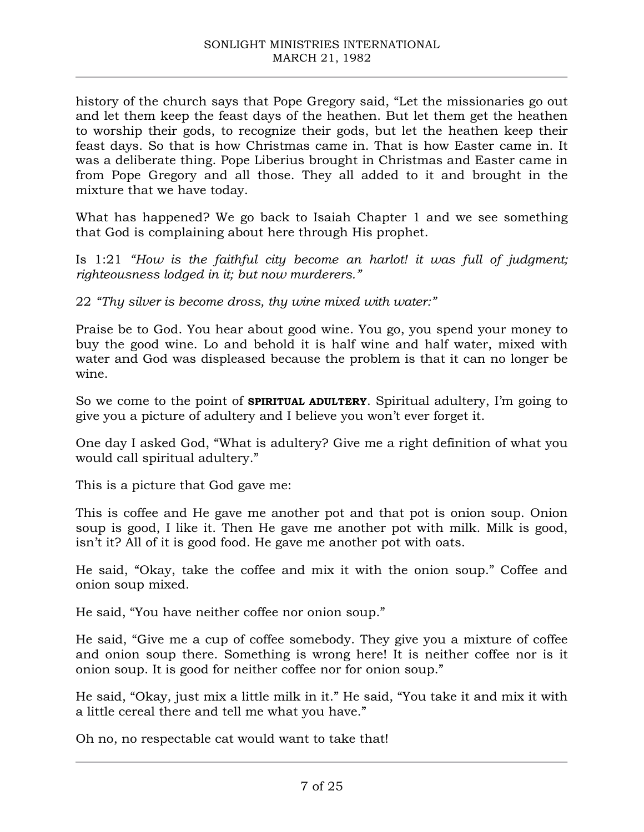history of the church says that Pope Gregory said, "Let the missionaries go out and let them keep the feast days of the heathen. But let them get the heathen to worship their gods, to recognize their gods, but let the heathen keep their feast days. So that is how Christmas came in. That is how Easter came in. It was a deliberate thing. Pope Liberius brought in Christmas and Easter came in from Pope Gregory and all those. They all added to it and brought in the mixture that we have today.

What has happened? We go back to Isaiah Chapter 1 and we see something that God is complaining about here through His prophet.

Is 1:21 *"How is the faithful city become an harlot! it was full of judgment; righteousness lodged in it; but now murderers."*

22 *"Thy silver is become dross, thy wine mixed with water:"*

Praise be to God. You hear about good wine. You go, you spend your money to buy the good wine. Lo and behold it is half wine and half water, mixed with water and God was displeased because the problem is that it can no longer be wine.

So we come to the point of **SPIRITUAL ADULTERY**. Spiritual adultery, I'm going to give you a picture of adultery and I believe you won't ever forget it.

One day I asked God, "What is adultery? Give me a right definition of what you would call spiritual adultery."

This is a picture that God gave me:

This is coffee and He gave me another pot and that pot is onion soup. Onion soup is good, I like it. Then He gave me another pot with milk. Milk is good, isn't it? All of it is good food. He gave me another pot with oats.

He said, "Okay, take the coffee and mix it with the onion soup." Coffee and onion soup mixed.

He said, "You have neither coffee nor onion soup."

He said, "Give me a cup of coffee somebody. They give you a mixture of coffee and onion soup there. Something is wrong here! It is neither coffee nor is it onion soup. It is good for neither coffee nor for onion soup."

He said, "Okay, just mix a little milk in it." He said, "You take it and mix it with a little cereal there and tell me what you have."

Oh no, no respectable cat would want to take that!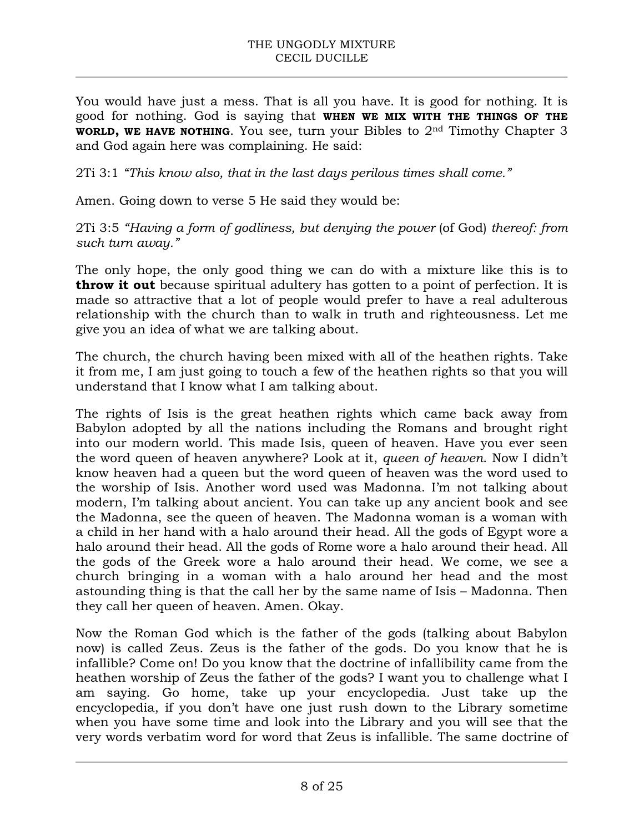You would have just a mess. That is all you have. It is good for nothing. It is good for nothing. God is saying that **WHEN WE MIX WITH THE THINGS OF THE WORLD, WE HAVE NOTHING**. You see, turn your Bibles to 2nd Timothy Chapter 3 and God again here was complaining. He said:

2Ti 3:1 *"This know also, that in the last days perilous times shall come."* 

Amen. Going down to verse 5 He said they would be:

2Ti 3:5 *"Having a form of godliness, but denying the power* (of God) *thereof: from such turn away."*

The only hope, the only good thing we can do with a mixture like this is to **throw it out** because spiritual adultery has gotten to a point of perfection. It is made so attractive that a lot of people would prefer to have a real adulterous relationship with the church than to walk in truth and righteousness. Let me give you an idea of what we are talking about.

The church, the church having been mixed with all of the heathen rights. Take it from me, I am just going to touch a few of the heathen rights so that you will understand that I know what I am talking about.

The rights of Isis is the great heathen rights which came back away from Babylon adopted by all the nations including the Romans and brought right into our modern world. This made Isis, queen of heaven. Have you ever seen the word queen of heaven anywhere? Look at it, *queen of heaven*. Now I didn't know heaven had a queen but the word queen of heaven was the word used to the worship of Isis. Another word used was Madonna. I'm not talking about modern, I'm talking about ancient. You can take up any ancient book and see the Madonna, see the queen of heaven. The Madonna woman is a woman with a child in her hand with a halo around their head. All the gods of Egypt wore a halo around their head. All the gods of Rome wore a halo around their head. All the gods of the Greek wore a halo around their head. We come, we see a church bringing in a woman with a halo around her head and the most astounding thing is that the call her by the same name of Isis – Madonna. Then they call her queen of heaven. Amen. Okay.

Now the Roman God which is the father of the gods (talking about Babylon now) is called Zeus. Zeus is the father of the gods. Do you know that he is infallible? Come on! Do you know that the doctrine of infallibility came from the heathen worship of Zeus the father of the gods? I want you to challenge what I am saying. Go home, take up your encyclopedia. Just take up the encyclopedia, if you don't have one just rush down to the Library sometime when you have some time and look into the Library and you will see that the very words verbatim word for word that Zeus is infallible. The same doctrine of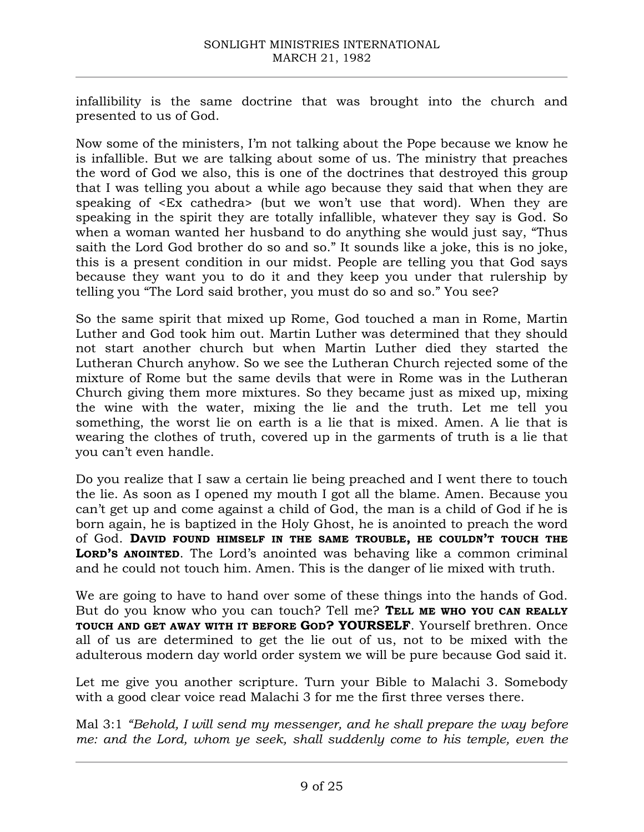infallibility is the same doctrine that was brought into the church and presented to us of God.

Now some of the ministers, I'm not talking about the Pope because we know he is infallible. But we are talking about some of us. The ministry that preaches the word of God we also, this is one of the doctrines that destroyed this group that I was telling you about a while ago because they said that when they are speaking of <Ex cathedra> (but we won't use that word). When they are speaking in the spirit they are totally infallible, whatever they say is God. So when a woman wanted her husband to do anything she would just say, "Thus saith the Lord God brother do so and so." It sounds like a joke, this is no joke, this is a present condition in our midst. People are telling you that God says because they want you to do it and they keep you under that rulership by telling you "The Lord said brother, you must do so and so." You see?

So the same spirit that mixed up Rome, God touched a man in Rome, Martin Luther and God took him out. Martin Luther was determined that they should not start another church but when Martin Luther died they started the Lutheran Church anyhow. So we see the Lutheran Church rejected some of the mixture of Rome but the same devils that were in Rome was in the Lutheran Church giving them more mixtures. So they became just as mixed up, mixing the wine with the water, mixing the lie and the truth. Let me tell you something, the worst lie on earth is a lie that is mixed. Amen. A lie that is wearing the clothes of truth, covered up in the garments of truth is a lie that you can't even handle.

Do you realize that I saw a certain lie being preached and I went there to touch the lie. As soon as I opened my mouth I got all the blame. Amen. Because you can't get up and come against a child of God, the man is a child of God if he is born again, he is baptized in the Holy Ghost, he is anointed to preach the word of God. **DAVID FOUND HIMSELF IN THE SAME TROUBLE, HE COULDN'T TOUCH THE LORD'S ANOINTED**. The Lord's anointed was behaving like a common criminal and he could not touch him. Amen. This is the danger of lie mixed with truth.

We are going to have to hand over some of these things into the hands of God. But do you know who you can touch? Tell me? **TELL ME WHO YOU CAN REALLY TOUCH AND GET AWAY WITH IT BEFORE GOD? YOURSELF**. Yourself brethren. Once all of us are determined to get the lie out of us, not to be mixed with the adulterous modern day world order system we will be pure because God said it.

Let me give you another scripture. Turn your Bible to Malachi 3. Somebody with a good clear voice read Malachi 3 for me the first three verses there.

Mal 3:1 *"Behold, I will send my messenger, and he shall prepare the way before me: and the Lord, whom ye seek, shall suddenly come to his temple, even the*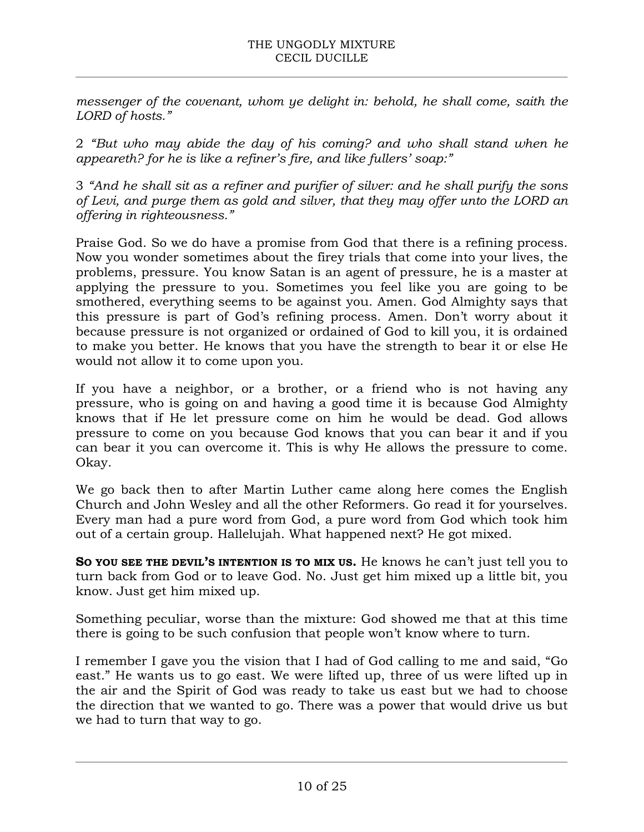*messenger of the covenant, whom ye delight in: behold, he shall come, saith the LORD of hosts."*

2 *"But who may abide the day of his coming? and who shall stand when he appeareth? for he is like a refiner's fire, and like fullers' soap:"*

3 *"And he shall sit as a refiner and purifier of silver: and he shall purify the sons of Levi, and purge them as gold and silver, that they may offer unto the LORD an offering in righteousness."*

Praise God. So we do have a promise from God that there is a refining process. Now you wonder sometimes about the firey trials that come into your lives, the problems, pressure. You know Satan is an agent of pressure, he is a master at applying the pressure to you. Sometimes you feel like you are going to be smothered, everything seems to be against you. Amen. God Almighty says that this pressure is part of God's refining process. Amen. Don't worry about it because pressure is not organized or ordained of God to kill you, it is ordained to make you better. He knows that you have the strength to bear it or else He would not allow it to come upon you.

If you have a neighbor, or a brother, or a friend who is not having any pressure, who is going on and having a good time it is because God Almighty knows that if He let pressure come on him he would be dead. God allows pressure to come on you because God knows that you can bear it and if you can bear it you can overcome it. This is why He allows the pressure to come. Okay.

We go back then to after Martin Luther came along here comes the English Church and John Wesley and all the other Reformers. Go read it for yourselves. Every man had a pure word from God, a pure word from God which took him out of a certain group. Hallelujah. What happened next? He got mixed.

**SO YOU SEE THE DEVIL'S INTENTION IS TO MIX US.** He knows he can't just tell you to turn back from God or to leave God. No. Just get him mixed up a little bit, you know. Just get him mixed up.

Something peculiar, worse than the mixture: God showed me that at this time there is going to be such confusion that people won't know where to turn.

I remember I gave you the vision that I had of God calling to me and said, "Go east." He wants us to go east. We were lifted up, three of us were lifted up in the air and the Spirit of God was ready to take us east but we had to choose the direction that we wanted to go. There was a power that would drive us but we had to turn that way to go.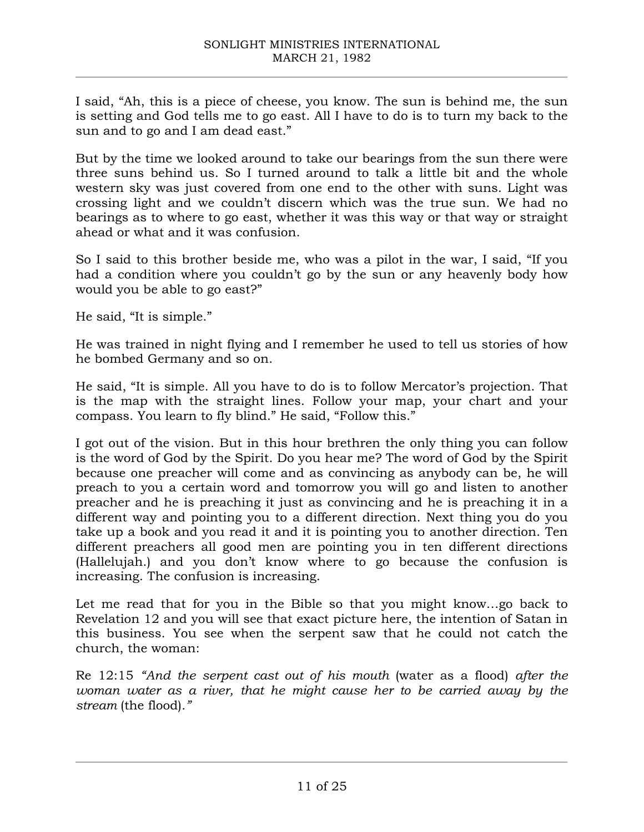I said, "Ah, this is a piece of cheese, you know. The sun is behind me, the sun is setting and God tells me to go east. All I have to do is to turn my back to the sun and to go and I am dead east."

But by the time we looked around to take our bearings from the sun there were three suns behind us. So I turned around to talk a little bit and the whole western sky was just covered from one end to the other with suns. Light was crossing light and we couldn't discern which was the true sun. We had no bearings as to where to go east, whether it was this way or that way or straight ahead or what and it was confusion.

So I said to this brother beside me, who was a pilot in the war, I said, "If you had a condition where you couldn't go by the sun or any heavenly body how would you be able to go east?"

He said, "It is simple."

He was trained in night flying and I remember he used to tell us stories of how he bombed Germany and so on.

He said, "It is simple. All you have to do is to follow Mercator's projection. That is the map with the straight lines. Follow your map, your chart and your compass. You learn to fly blind." He said, "Follow this."

I got out of the vision. But in this hour brethren the only thing you can follow is the word of God by the Spirit. Do you hear me? The word of God by the Spirit because one preacher will come and as convincing as anybody can be, he will preach to you a certain word and tomorrow you will go and listen to another preacher and he is preaching it just as convincing and he is preaching it in a different way and pointing you to a different direction. Next thing you do you take up a book and you read it and it is pointing you to another direction. Ten different preachers all good men are pointing you in ten different directions (Hallelujah.) and you don't know where to go because the confusion is increasing. The confusion is increasing.

Let me read that for you in the Bible so that you might know…go back to Revelation 12 and you will see that exact picture here, the intention of Satan in this business. You see when the serpent saw that he could not catch the church, the woman:

Re 12:15 *"And the serpent cast out of his mouth* (water as a flood) *after the woman water as a river, that he might cause her to be carried away by the stream* (the flood)*."*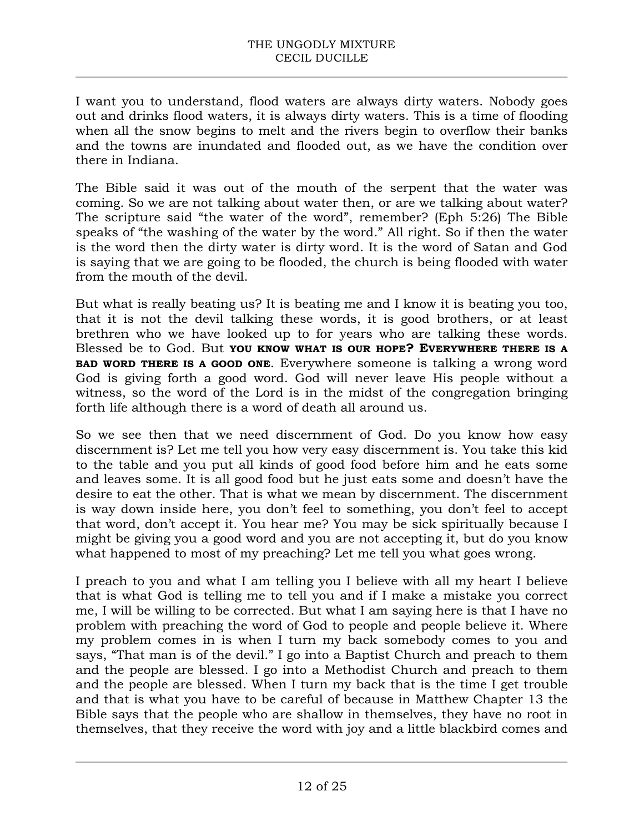I want you to understand, flood waters are always dirty waters. Nobody goes out and drinks flood waters, it is always dirty waters. This is a time of flooding when all the snow begins to melt and the rivers begin to overflow their banks and the towns are inundated and flooded out, as we have the condition over there in Indiana.

The Bible said it was out of the mouth of the serpent that the water was coming. So we are not talking about water then, or are we talking about water? The scripture said "the water of the word", remember? (Eph 5:26) The Bible speaks of "the washing of the water by the word." All right. So if then the water is the word then the dirty water is dirty word. It is the word of Satan and God is saying that we are going to be flooded, the church is being flooded with water from the mouth of the devil.

But what is really beating us? It is beating me and I know it is beating you too, that it is not the devil talking these words, it is good brothers, or at least brethren who we have looked up to for years who are talking these words. Blessed be to God. But **YOU KNOW WHAT IS OUR HOPE? EVERYWHERE THERE IS A BAD WORD THERE IS A GOOD ONE**. Everywhere someone is talking a wrong word God is giving forth a good word. God will never leave His people without a witness, so the word of the Lord is in the midst of the congregation bringing forth life although there is a word of death all around us.

So we see then that we need discernment of God. Do you know how easy discernment is? Let me tell you how very easy discernment is. You take this kid to the table and you put all kinds of good food before him and he eats some and leaves some. It is all good food but he just eats some and doesn't have the desire to eat the other. That is what we mean by discernment. The discernment is way down inside here, you don't feel to something, you don't feel to accept that word, don't accept it. You hear me? You may be sick spiritually because I might be giving you a good word and you are not accepting it, but do you know what happened to most of my preaching? Let me tell you what goes wrong.

I preach to you and what I am telling you I believe with all my heart I believe that is what God is telling me to tell you and if I make a mistake you correct me, I will be willing to be corrected. But what I am saying here is that I have no problem with preaching the word of God to people and people believe it. Where my problem comes in is when I turn my back somebody comes to you and says, "That man is of the devil." I go into a Baptist Church and preach to them and the people are blessed. I go into a Methodist Church and preach to them and the people are blessed. When I turn my back that is the time I get trouble and that is what you have to be careful of because in Matthew Chapter 13 the Bible says that the people who are shallow in themselves, they have no root in themselves, that they receive the word with joy and a little blackbird comes and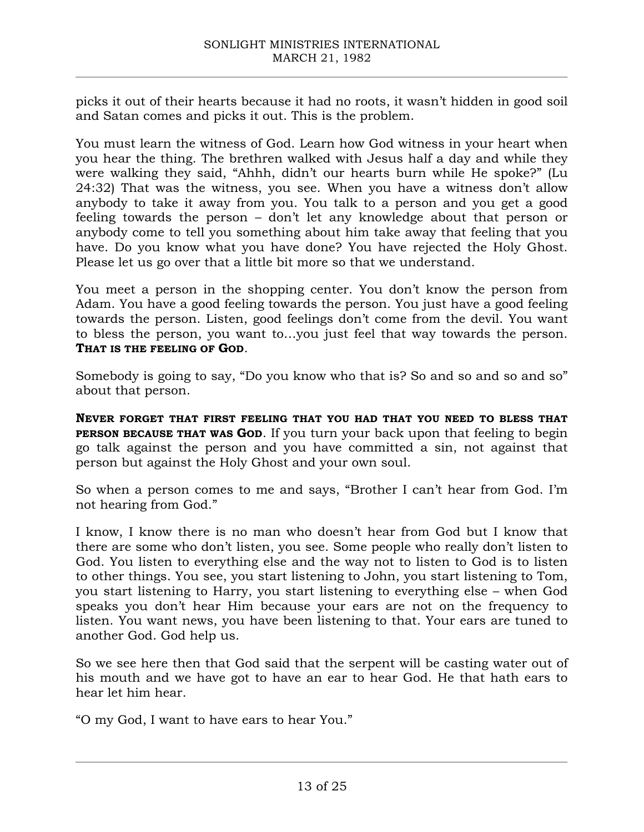picks it out of their hearts because it had no roots, it wasn't hidden in good soil and Satan comes and picks it out. This is the problem.

You must learn the witness of God. Learn how God witness in your heart when you hear the thing. The brethren walked with Jesus half a day and while they were walking they said, "Ahhh, didn't our hearts burn while He spoke?" (Lu 24:32) That was the witness, you see. When you have a witness don't allow anybody to take it away from you. You talk to a person and you get a good feeling towards the person – don't let any knowledge about that person or anybody come to tell you something about him take away that feeling that you have. Do you know what you have done? You have rejected the Holy Ghost. Please let us go over that a little bit more so that we understand.

You meet a person in the shopping center. You don't know the person from Adam. You have a good feeling towards the person. You just have a good feeling towards the person. Listen, good feelings don't come from the devil. You want to bless the person, you want to…you just feel that way towards the person. **THAT IS THE FEELING OF GOD**.

Somebody is going to say, "Do you know who that is? So and so and so and so" about that person.

**NEVER FORGET THAT FIRST FEELING THAT YOU HAD THAT YOU NEED TO BLESS THAT PERSON BECAUSE THAT WAS GOD.** If you turn your back upon that feeling to begin go talk against the person and you have committed a sin, not against that person but against the Holy Ghost and your own soul.

So when a person comes to me and says, "Brother I can't hear from God. I'm not hearing from God."

I know, I know there is no man who doesn't hear from God but I know that there are some who don't listen, you see. Some people who really don't listen to God. You listen to everything else and the way not to listen to God is to listen to other things. You see, you start listening to John, you start listening to Tom, you start listening to Harry, you start listening to everything else – when God speaks you don't hear Him because your ears are not on the frequency to listen. You want news, you have been listening to that. Your ears are tuned to another God. God help us.

So we see here then that God said that the serpent will be casting water out of his mouth and we have got to have an ear to hear God. He that hath ears to hear let him hear.

"O my God, I want to have ears to hear You."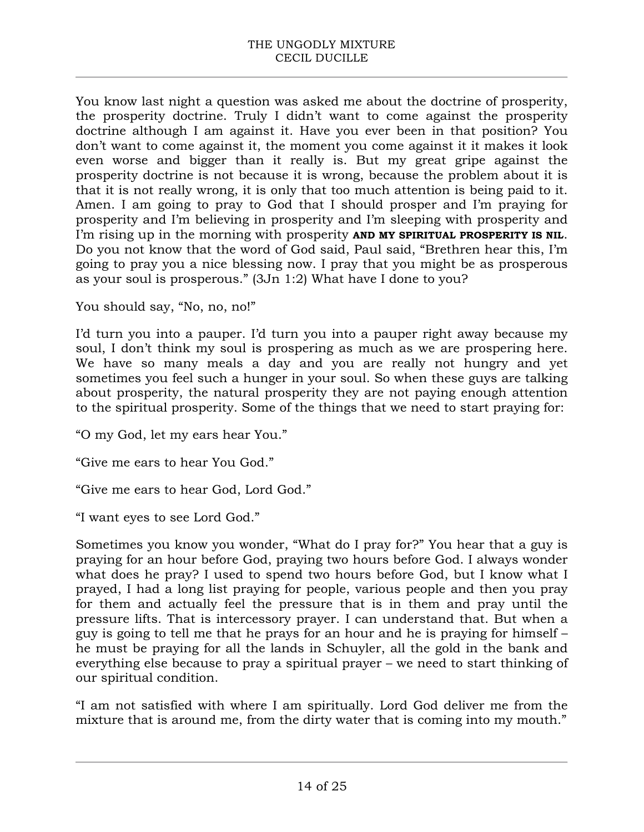You know last night a question was asked me about the doctrine of prosperity, the prosperity doctrine. Truly I didn't want to come against the prosperity doctrine although I am against it. Have you ever been in that position? You don't want to come against it, the moment you come against it it makes it look even worse and bigger than it really is. But my great gripe against the prosperity doctrine is not because it is wrong, because the problem about it is that it is not really wrong, it is only that too much attention is being paid to it. Amen. I am going to pray to God that I should prosper and I'm praying for prosperity and I'm believing in prosperity and I'm sleeping with prosperity and I'm rising up in the morning with prosperity **AND MY SPIRITUAL PROSPERITY IS NIL**. Do you not know that the word of God said, Paul said, "Brethren hear this, I'm going to pray you a nice blessing now. I pray that you might be as prosperous as your soul is prosperous." (3Jn 1:2) What have I done to you?

You should say, "No, no, no!"

I'd turn you into a pauper. I'd turn you into a pauper right away because my soul, I don't think my soul is prospering as much as we are prospering here. We have so many meals a day and you are really not hungry and yet sometimes you feel such a hunger in your soul. So when these guys are talking about prosperity, the natural prosperity they are not paying enough attention to the spiritual prosperity. Some of the things that we need to start praying for:

"O my God, let my ears hear You."

"Give me ears to hear You God."

"Give me ears to hear God, Lord God."

"I want eyes to see Lord God."

Sometimes you know you wonder, "What do I pray for?" You hear that a guy is praying for an hour before God, praying two hours before God. I always wonder what does he pray? I used to spend two hours before God, but I know what I prayed, I had a long list praying for people, various people and then you pray for them and actually feel the pressure that is in them and pray until the pressure lifts. That is intercessory prayer. I can understand that. But when a guy is going to tell me that he prays for an hour and he is praying for himself – he must be praying for all the lands in Schuyler, all the gold in the bank and everything else because to pray a spiritual prayer – we need to start thinking of our spiritual condition.

"I am not satisfied with where I am spiritually. Lord God deliver me from the mixture that is around me, from the dirty water that is coming into my mouth."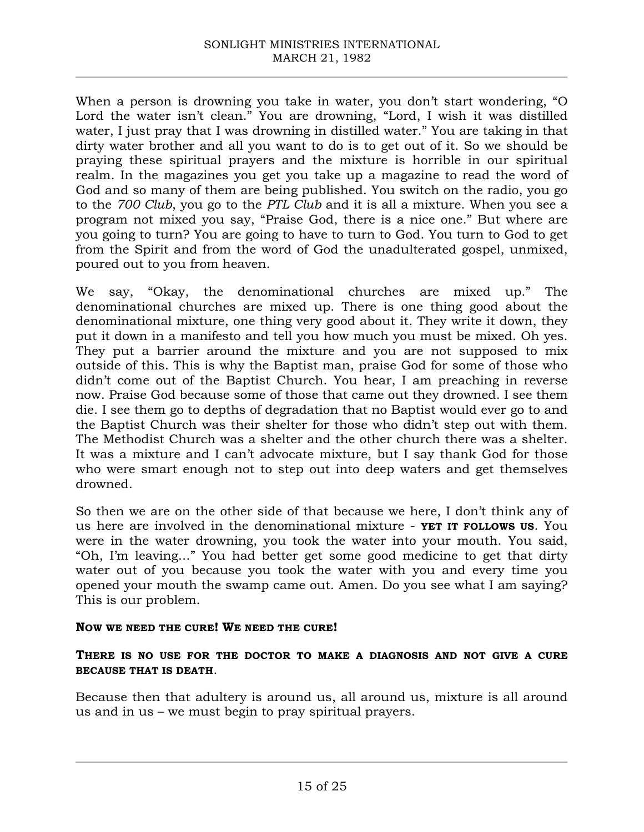When a person is drowning you take in water, you don't start wondering, "O Lord the water isn't clean." You are drowning, "Lord, I wish it was distilled water, I just pray that I was drowning in distilled water." You are taking in that dirty water brother and all you want to do is to get out of it. So we should be praying these spiritual prayers and the mixture is horrible in our spiritual realm. In the magazines you get you take up a magazine to read the word of God and so many of them are being published. You switch on the radio, you go to the *700 Club*, you go to the *PTL Club* and it is all a mixture. When you see a program not mixed you say, "Praise God, there is a nice one." But where are you going to turn? You are going to have to turn to God. You turn to God to get from the Spirit and from the word of God the unadulterated gospel, unmixed, poured out to you from heaven.

We say, "Okay, the denominational churches are mixed up." The denominational churches are mixed up. There is one thing good about the denominational mixture, one thing very good about it. They write it down, they put it down in a manifesto and tell you how much you must be mixed. Oh yes. They put a barrier around the mixture and you are not supposed to mix outside of this. This is why the Baptist man, praise God for some of those who didn't come out of the Baptist Church. You hear, I am preaching in reverse now. Praise God because some of those that came out they drowned. I see them die. I see them go to depths of degradation that no Baptist would ever go to and the Baptist Church was their shelter for those who didn't step out with them. The Methodist Church was a shelter and the other church there was a shelter. It was a mixture and I can't advocate mixture, but I say thank God for those who were smart enough not to step out into deep waters and get themselves drowned.

So then we are on the other side of that because we here, I don't think any of us here are involved in the denominational mixture - **YET IT FOLLOWS US**. You were in the water drowning, you took the water into your mouth. You said, "Oh, I'm leaving..." You had better get some good medicine to get that dirty water out of you because you took the water with you and every time you opened your mouth the swamp came out. Amen. Do you see what I am saying? This is our problem.

#### **NOW WE NEED THE CURE! WE NEED THE CURE!**

### **THERE IS NO USE FOR THE DOCTOR TO MAKE A DIAGNOSIS AND NOT GIVE A CURE BECAUSE THAT IS DEATH**.

Because then that adultery is around us, all around us, mixture is all around us and in us – we must begin to pray spiritual prayers.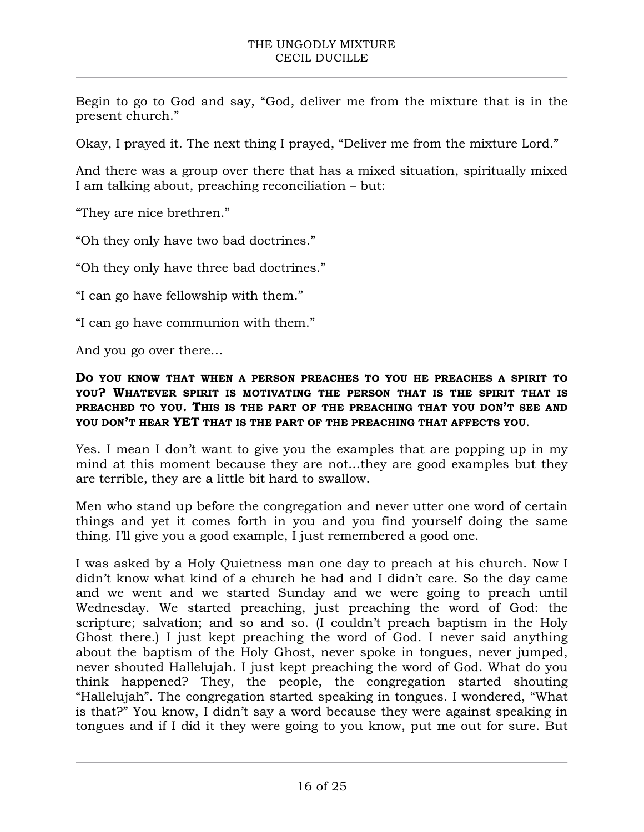Begin to go to God and say, "God, deliver me from the mixture that is in the present church."

Okay, I prayed it. The next thing I prayed, "Deliver me from the mixture Lord."

And there was a group over there that has a mixed situation, spiritually mixed I am talking about, preaching reconciliation – but:

"They are nice brethren."

"Oh they only have two bad doctrines."

"Oh they only have three bad doctrines."

"I can go have fellowship with them."

"I can go have communion with them."

And you go over there…

**DO YOU KNOW THAT WHEN A PERSON PREACHES TO YOU HE PREACHES A SPIRIT TO YOU? WHATEVER SPIRIT IS MOTIVATING THE PERSON THAT IS THE SPIRIT THAT IS PREACHED TO YOU. THIS IS THE PART OF THE PREACHING THAT YOU DON'T SEE AND YOU DON'T HEAR YET THAT IS THE PART OF THE PREACHING THAT AFFECTS YOU**.

Yes. I mean I don't want to give you the examples that are popping up in my mind at this moment because they are not...they are good examples but they are terrible, they are a little bit hard to swallow.

Men who stand up before the congregation and never utter one word of certain things and yet it comes forth in you and you find yourself doing the same thing. I'll give you a good example, I just remembered a good one.

I was asked by a Holy Quietness man one day to preach at his church. Now I didn't know what kind of a church he had and I didn't care. So the day came and we went and we started Sunday and we were going to preach until Wednesday. We started preaching, just preaching the word of God: the scripture; salvation; and so and so. (I couldn't preach baptism in the Holy Ghost there.) I just kept preaching the word of God. I never said anything about the baptism of the Holy Ghost, never spoke in tongues, never jumped, never shouted Hallelujah. I just kept preaching the word of God. What do you think happened? They, the people, the congregation started shouting "Hallelujah". The congregation started speaking in tongues. I wondered, "What is that?" You know, I didn't say a word because they were against speaking in tongues and if I did it they were going to you know, put me out for sure. But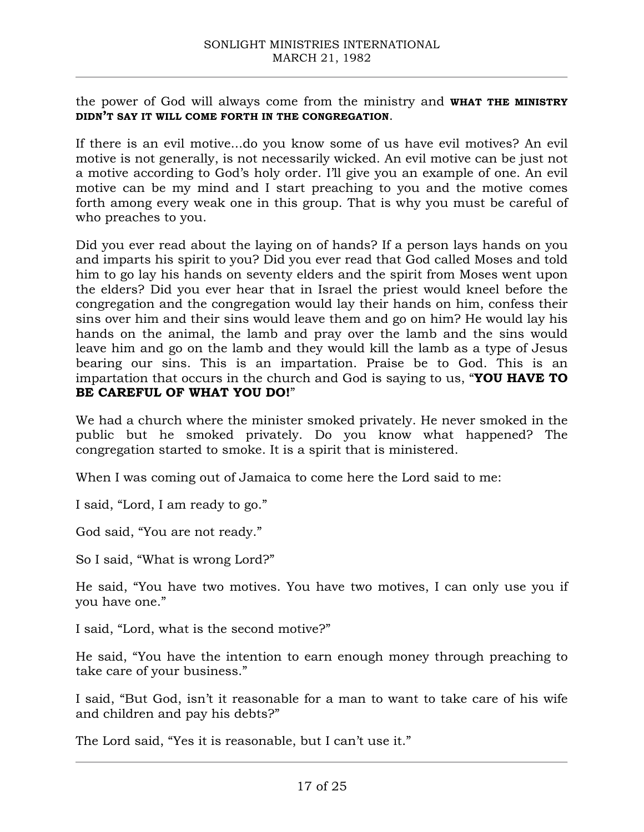the power of God will always come from the ministry and **WHAT THE MINISTRY DIDN'T SAY IT WILL COME FORTH IN THE CONGREGATION**.

If there is an evil motive...do you know some of us have evil motives? An evil motive is not generally, is not necessarily wicked. An evil motive can be just not a motive according to God's holy order. I'll give you an example of one. An evil motive can be my mind and I start preaching to you and the motive comes forth among every weak one in this group. That is why you must be careful of who preaches to you.

Did you ever read about the laying on of hands? If a person lays hands on you and imparts his spirit to you? Did you ever read that God called Moses and told him to go lay his hands on seventy elders and the spirit from Moses went upon the elders? Did you ever hear that in Israel the priest would kneel before the congregation and the congregation would lay their hands on him, confess their sins over him and their sins would leave them and go on him? He would lay his hands on the animal, the lamb and pray over the lamb and the sins would leave him and go on the lamb and they would kill the lamb as a type of Jesus bearing our sins. This is an impartation. Praise be to God. This is an impartation that occurs in the church and God is saying to us, "**YOU HAVE TO BE CAREFUL OF WHAT YOU DO!**"

We had a church where the minister smoked privately. He never smoked in the public but he smoked privately. Do you know what happened? The congregation started to smoke. It is a spirit that is ministered.

When I was coming out of Jamaica to come here the Lord said to me:

I said, "Lord, I am ready to go."

God said, "You are not ready."

So I said, "What is wrong Lord?"

He said, "You have two motives. You have two motives, I can only use you if you have one."

I said, "Lord, what is the second motive?"

He said, "You have the intention to earn enough money through preaching to take care of your business."

I said, "But God, isn't it reasonable for a man to want to take care of his wife and children and pay his debts?"

The Lord said, "Yes it is reasonable, but I can't use it."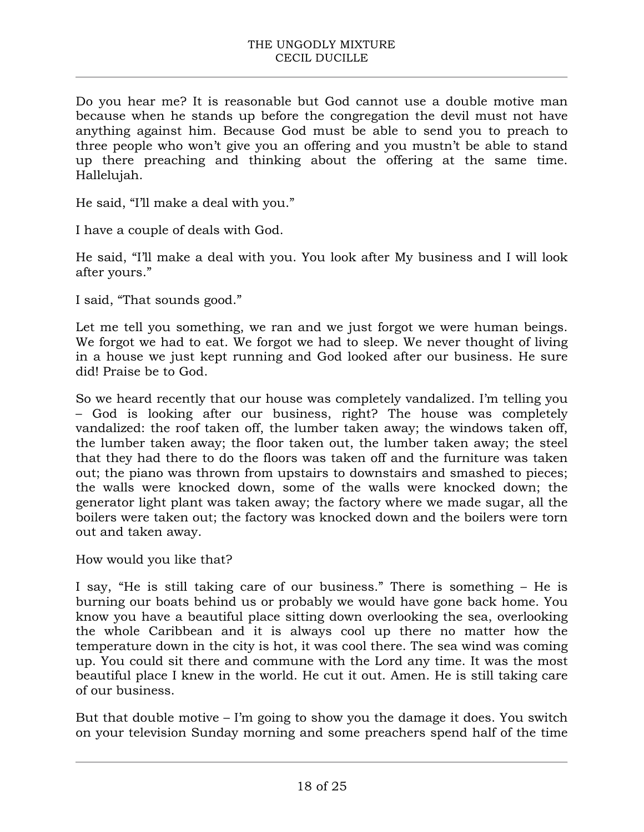Do you hear me? It is reasonable but God cannot use a double motive man because when he stands up before the congregation the devil must not have anything against him. Because God must be able to send you to preach to three people who won't give you an offering and you mustn't be able to stand up there preaching and thinking about the offering at the same time. Hallelujah.

He said, "I'll make a deal with you."

I have a couple of deals with God.

He said, "I'll make a deal with you. You look after My business and I will look after yours."

I said, "That sounds good."

Let me tell you something, we ran and we just forgot we were human beings. We forgot we had to eat. We forgot we had to sleep. We never thought of living in a house we just kept running and God looked after our business. He sure did! Praise be to God.

So we heard recently that our house was completely vandalized. I'm telling you – God is looking after our business, right? The house was completely vandalized: the roof taken off, the lumber taken away; the windows taken off, the lumber taken away; the floor taken out, the lumber taken away; the steel that they had there to do the floors was taken off and the furniture was taken out; the piano was thrown from upstairs to downstairs and smashed to pieces; the walls were knocked down, some of the walls were knocked down; the generator light plant was taken away; the factory where we made sugar, all the boilers were taken out; the factory was knocked down and the boilers were torn out and taken away.

How would you like that?

I say, "He is still taking care of our business." There is something – He is burning our boats behind us or probably we would have gone back home. You know you have a beautiful place sitting down overlooking the sea, overlooking the whole Caribbean and it is always cool up there no matter how the temperature down in the city is hot, it was cool there. The sea wind was coming up. You could sit there and commune with the Lord any time. It was the most beautiful place I knew in the world. He cut it out. Amen. He is still taking care of our business.

But that double motive – I'm going to show you the damage it does. You switch on your television Sunday morning and some preachers spend half of the time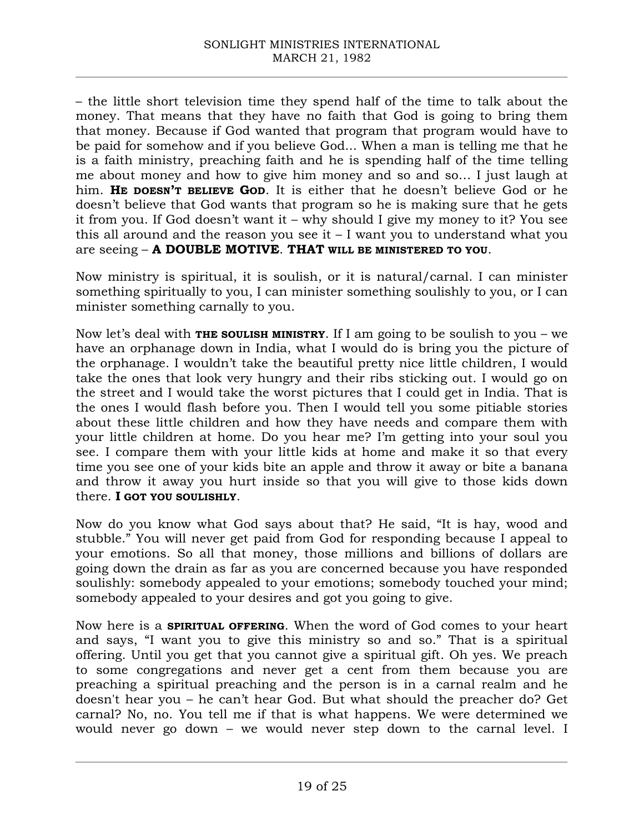– the little short television time they spend half of the time to talk about the money. That means that they have no faith that God is going to bring them that money. Because if God wanted that program that program would have to be paid for somehow and if you believe God... When a man is telling me that he is a faith ministry, preaching faith and he is spending half of the time telling me about money and how to give him money and so and so… I just laugh at him. **HE DOESN'T BELIEVE GOD**. It is either that he doesn't believe God or he doesn't believe that God wants that program so he is making sure that he gets it from you. If God doesn't want it – why should I give my money to it? You see this all around and the reason you see it – I want you to understand what you are seeing – **A DOUBLE MOTIVE**. **THAT WILL BE MINISTERED TO YOU**.

Now ministry is spiritual, it is soulish, or it is natural/carnal. I can minister something spiritually to you, I can minister something soulishly to you, or I can minister something carnally to you.

Now let's deal with **THE SOULISH MINISTRY**. If I am going to be soulish to you – we have an orphanage down in India, what I would do is bring you the picture of the orphanage. I wouldn't take the beautiful pretty nice little children, I would take the ones that look very hungry and their ribs sticking out. I would go on the street and I would take the worst pictures that I could get in India. That is the ones I would flash before you. Then I would tell you some pitiable stories about these little children and how they have needs and compare them with your little children at home. Do you hear me? I'm getting into your soul you see. I compare them with your little kids at home and make it so that every time you see one of your kids bite an apple and throw it away or bite a banana and throw it away you hurt inside so that you will give to those kids down there. **I GOT YOU SOULISHLY**.

Now do you know what God says about that? He said, "It is hay, wood and stubble." You will never get paid from God for responding because I appeal to your emotions. So all that money, those millions and billions of dollars are going down the drain as far as you are concerned because you have responded soulishly: somebody appealed to your emotions; somebody touched your mind; somebody appealed to your desires and got you going to give.

Now here is a **SPIRITUAL OFFERING**. When the word of God comes to your heart and says, "I want you to give this ministry so and so." That is a spiritual offering. Until you get that you cannot give a spiritual gift. Oh yes. We preach to some congregations and never get a cent from them because you are preaching a spiritual preaching and the person is in a carnal realm and he doesn't hear you – he can't hear God. But what should the preacher do? Get carnal? No, no. You tell me if that is what happens. We were determined we would never go down – we would never step down to the carnal level. I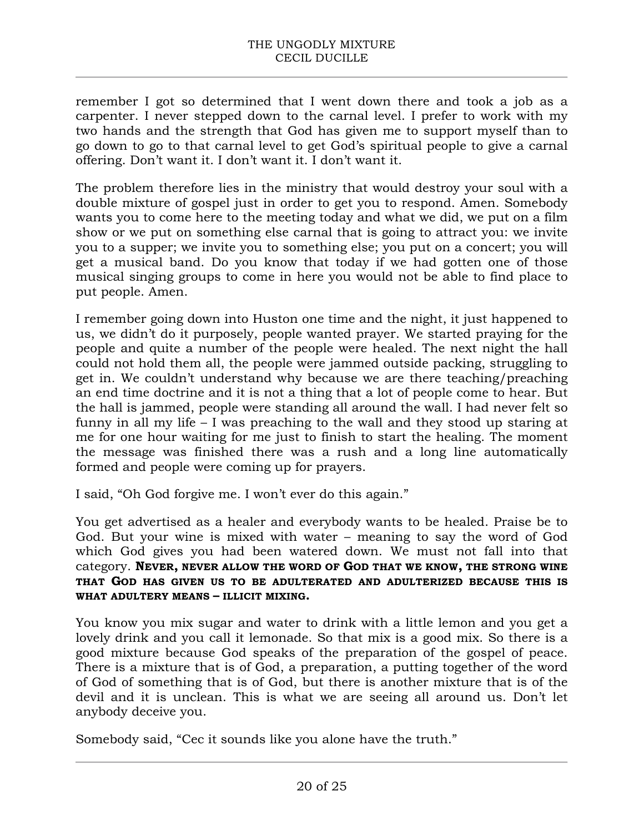remember I got so determined that I went down there and took a job as a carpenter. I never stepped down to the carnal level. I prefer to work with my two hands and the strength that God has given me to support myself than to go down to go to that carnal level to get God's spiritual people to give a carnal offering. Don't want it. I don't want it. I don't want it.

The problem therefore lies in the ministry that would destroy your soul with a double mixture of gospel just in order to get you to respond. Amen. Somebody wants you to come here to the meeting today and what we did, we put on a film show or we put on something else carnal that is going to attract you: we invite you to a supper; we invite you to something else; you put on a concert; you will get a musical band. Do you know that today if we had gotten one of those musical singing groups to come in here you would not be able to find place to put people. Amen.

I remember going down into Huston one time and the night, it just happened to us, we didn't do it purposely, people wanted prayer. We started praying for the people and quite a number of the people were healed. The next night the hall could not hold them all, the people were jammed outside packing, struggling to get in. We couldn't understand why because we are there teaching/preaching an end time doctrine and it is not a thing that a lot of people come to hear. But the hall is jammed, people were standing all around the wall. I had never felt so funny in all my life – I was preaching to the wall and they stood up staring at me for one hour waiting for me just to finish to start the healing. The moment the message was finished there was a rush and a long line automatically formed and people were coming up for prayers.

I said, "Oh God forgive me. I won't ever do this again."

You get advertised as a healer and everybody wants to be healed. Praise be to God. But your wine is mixed with water – meaning to say the word of God which God gives you had been watered down. We must not fall into that category. **NEVER, NEVER ALLOW THE WORD OF GOD THAT WE KNOW, THE STRONG WINE THAT GOD HAS GIVEN US TO BE ADULTERATED AND ADULTERIZED BECAUSE THIS IS WHAT ADULTERY MEANS – ILLICIT MIXING.**

You know you mix sugar and water to drink with a little lemon and you get a lovely drink and you call it lemonade. So that mix is a good mix. So there is a good mixture because God speaks of the preparation of the gospel of peace. There is a mixture that is of God, a preparation, a putting together of the word of God of something that is of God, but there is another mixture that is of the devil and it is unclean. This is what we are seeing all around us. Don't let anybody deceive you.

Somebody said, "Cec it sounds like you alone have the truth."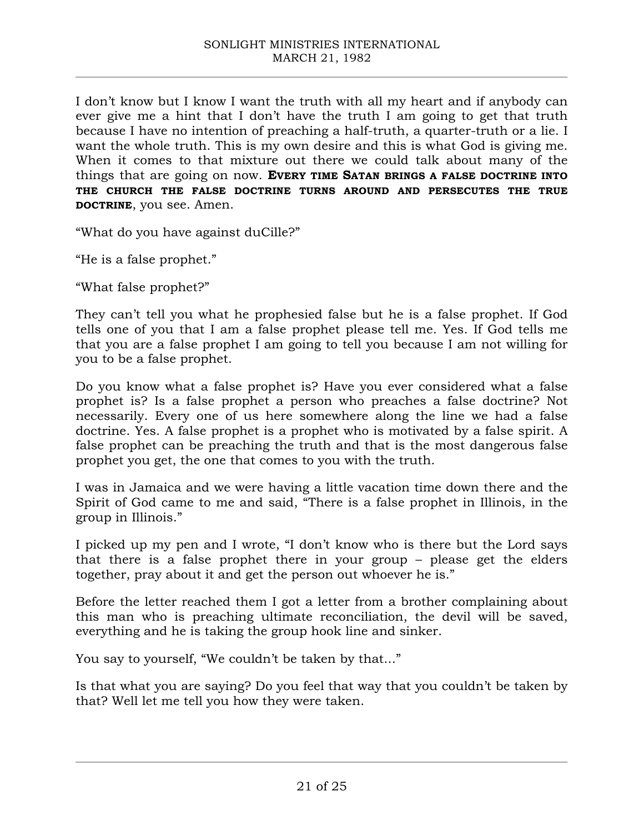I don't know but I know I want the truth with all my heart and if anybody can ever give me a hint that I don't have the truth I am going to get that truth because I have no intention of preaching a half-truth, a quarter-truth or a lie. I want the whole truth. This is my own desire and this is what God is giving me. When it comes to that mixture out there we could talk about many of the things that are going on now. **EVERY TIME SATAN BRINGS A FALSE DOCTRINE INTO THE CHURCH THE FALSE DOCTRINE TURNS AROUND AND PERSECUTES THE TRUE DOCTRINE**, you see. Amen.

"What do you have against duCille?"

"He is a false prophet."

"What false prophet?"

They can't tell you what he prophesied false but he is a false prophet. If God tells one of you that I am a false prophet please tell me. Yes. If God tells me that you are a false prophet I am going to tell you because I am not willing for you to be a false prophet.

Do you know what a false prophet is? Have you ever considered what a false prophet is? Is a false prophet a person who preaches a false doctrine? Not necessarily. Every one of us here somewhere along the line we had a false doctrine. Yes. A false prophet is a prophet who is motivated by a false spirit. A false prophet can be preaching the truth and that is the most dangerous false prophet you get, the one that comes to you with the truth.

I was in Jamaica and we were having a little vacation time down there and the Spirit of God came to me and said, "There is a false prophet in Illinois, in the group in Illinois."

I picked up my pen and I wrote, "I don't know who is there but the Lord says that there is a false prophet there in your group – please get the elders together, pray about it and get the person out whoever he is."

Before the letter reached them I got a letter from a brother complaining about this man who is preaching ultimate reconciliation, the devil will be saved, everything and he is taking the group hook line and sinker.

You say to yourself, "We couldn't be taken by that..."

Is that what you are saying? Do you feel that way that you couldn't be taken by that? Well let me tell you how they were taken.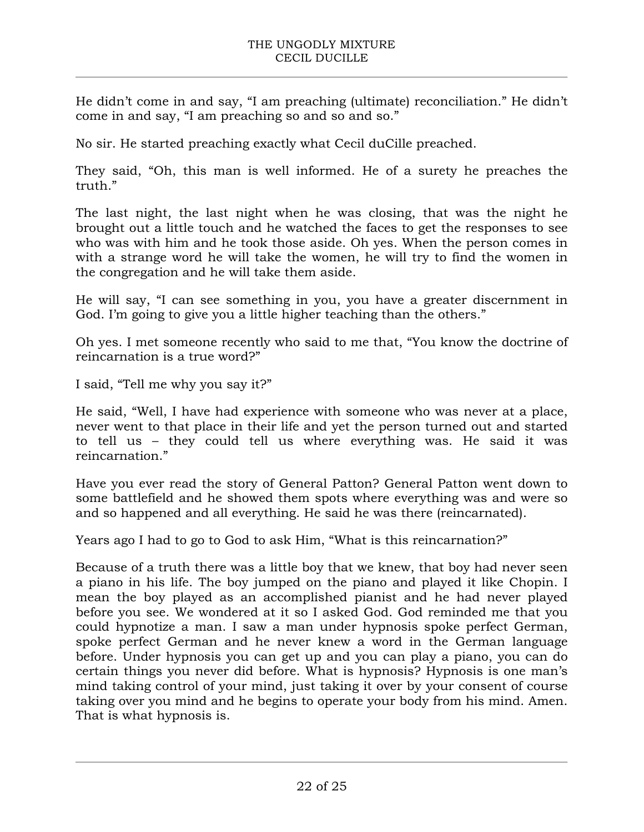He didn't come in and say, "I am preaching (ultimate) reconciliation." He didn't come in and say, "I am preaching so and so and so."

No sir. He started preaching exactly what Cecil duCille preached.

They said, "Oh, this man is well informed. He of a surety he preaches the truth."

The last night, the last night when he was closing, that was the night he brought out a little touch and he watched the faces to get the responses to see who was with him and he took those aside. Oh yes. When the person comes in with a strange word he will take the women, he will try to find the women in the congregation and he will take them aside.

He will say, "I can see something in you, you have a greater discernment in God. I'm going to give you a little higher teaching than the others."

Oh yes. I met someone recently who said to me that, "You know the doctrine of reincarnation is a true word?"

I said, "Tell me why you say it?"

He said, "Well, I have had experience with someone who was never at a place, never went to that place in their life and yet the person turned out and started to tell us – they could tell us where everything was. He said it was reincarnation."

Have you ever read the story of General Patton? General Patton went down to some battlefield and he showed them spots where everything was and were so and so happened and all everything. He said he was there (reincarnated).

Years ago I had to go to God to ask Him, "What is this reincarnation?"

Because of a truth there was a little boy that we knew, that boy had never seen a piano in his life. The boy jumped on the piano and played it like Chopin. I mean the boy played as an accomplished pianist and he had never played before you see. We wondered at it so I asked God. God reminded me that you could hypnotize a man. I saw a man under hypnosis spoke perfect German, spoke perfect German and he never knew a word in the German language before. Under hypnosis you can get up and you can play a piano, you can do certain things you never did before. What is hypnosis? Hypnosis is one man's mind taking control of your mind, just taking it over by your consent of course taking over you mind and he begins to operate your body from his mind. Amen. That is what hypnosis is.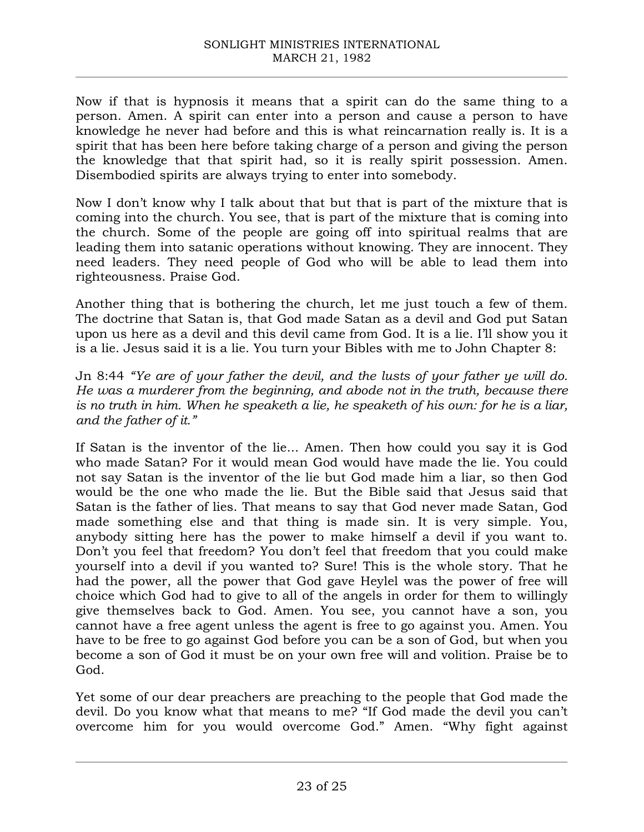Now if that is hypnosis it means that a spirit can do the same thing to a person. Amen. A spirit can enter into a person and cause a person to have knowledge he never had before and this is what reincarnation really is. It is a spirit that has been here before taking charge of a person and giving the person the knowledge that that spirit had, so it is really spirit possession. Amen. Disembodied spirits are always trying to enter into somebody.

Now I don't know why I talk about that but that is part of the mixture that is coming into the church. You see, that is part of the mixture that is coming into the church. Some of the people are going off into spiritual realms that are leading them into satanic operations without knowing. They are innocent. They need leaders. They need people of God who will be able to lead them into righteousness. Praise God.

Another thing that is bothering the church, let me just touch a few of them. The doctrine that Satan is, that God made Satan as a devil and God put Satan upon us here as a devil and this devil came from God. It is a lie. I'll show you it is a lie. Jesus said it is a lie. You turn your Bibles with me to John Chapter 8:

Jn 8:44 *"Ye are of your father the devil, and the lusts of your father ye will do. He was a murderer from the beginning, and abode not in the truth, because there is no truth in him. When he speaketh a lie, he speaketh of his own: for he is a liar, and the father of it."*

If Satan is the inventor of the lie... Amen. Then how could you say it is God who made Satan? For it would mean God would have made the lie. You could not say Satan is the inventor of the lie but God made him a liar, so then God would be the one who made the lie. But the Bible said that Jesus said that Satan is the father of lies. That means to say that God never made Satan, God made something else and that thing is made sin. It is very simple. You, anybody sitting here has the power to make himself a devil if you want to. Don't you feel that freedom? You don't feel that freedom that you could make yourself into a devil if you wanted to? Sure! This is the whole story. That he had the power, all the power that God gave Heylel was the power of free will choice which God had to give to all of the angels in order for them to willingly give themselves back to God. Amen. You see, you cannot have a son, you cannot have a free agent unless the agent is free to go against you. Amen. You have to be free to go against God before you can be a son of God, but when you become a son of God it must be on your own free will and volition. Praise be to God.

Yet some of our dear preachers are preaching to the people that God made the devil. Do you know what that means to me? "If God made the devil you can't overcome him for you would overcome God." Amen. "Why fight against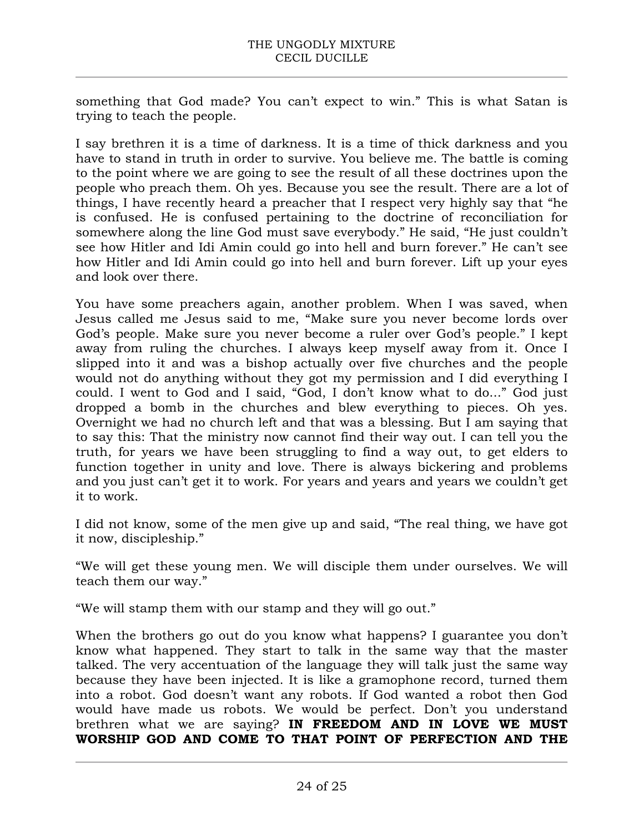something that God made? You can't expect to win." This is what Satan is trying to teach the people.

I say brethren it is a time of darkness. It is a time of thick darkness and you have to stand in truth in order to survive. You believe me. The battle is coming to the point where we are going to see the result of all these doctrines upon the people who preach them. Oh yes. Because you see the result. There are a lot of things, I have recently heard a preacher that I respect very highly say that "he is confused. He is confused pertaining to the doctrine of reconciliation for somewhere along the line God must save everybody." He said, "He just couldn't see how Hitler and Idi Amin could go into hell and burn forever." He can't see how Hitler and Idi Amin could go into hell and burn forever. Lift up your eyes and look over there.

You have some preachers again, another problem. When I was saved, when Jesus called me Jesus said to me, "Make sure you never become lords over God's people. Make sure you never become a ruler over God's people." I kept away from ruling the churches. I always keep myself away from it. Once I slipped into it and was a bishop actually over five churches and the people would not do anything without they got my permission and I did everything I could. I went to God and I said, "God, I don't know what to do..." God just dropped a bomb in the churches and blew everything to pieces. Oh yes. Overnight we had no church left and that was a blessing. But I am saying that to say this: That the ministry now cannot find their way out. I can tell you the truth, for years we have been struggling to find a way out, to get elders to function together in unity and love. There is always bickering and problems and you just can't get it to work. For years and years and years we couldn't get it to work.

I did not know, some of the men give up and said, "The real thing, we have got it now, discipleship."

"We will get these young men. We will disciple them under ourselves. We will teach them our way."

"We will stamp them with our stamp and they will go out."

When the brothers go out do you know what happens? I guarantee you don't know what happened. They start to talk in the same way that the master talked. The very accentuation of the language they will talk just the same way because they have been injected. It is like a gramophone record, turned them into a robot. God doesn't want any robots. If God wanted a robot then God would have made us robots. We would be perfect. Don't you understand brethren what we are saying? **IN FREEDOM AND IN LOVE WE MUST WORSHIP GOD AND COME TO THAT POINT OF PERFECTION AND THE**